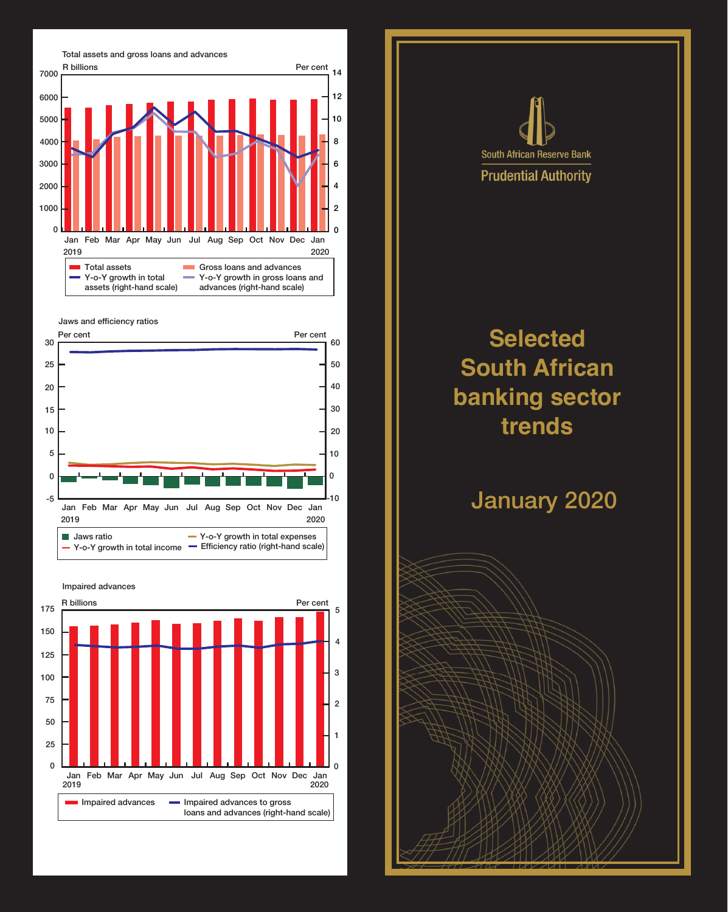